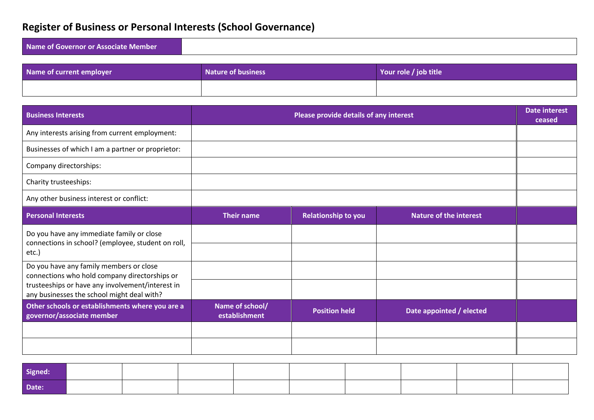# **Register of Business or Personal Interests (School Governance)**

| Name of Governor or Associate Member |  |
|--------------------------------------|--|
|                                      |  |

| Name of current employer | <b>Nature of business</b> | Your role / job title |
|--------------------------|---------------------------|-----------------------|
|                          |                           |                       |

| <b>Business Interests</b>                                                                       | Please provide details of any interest |                            |                               |  |  |
|-------------------------------------------------------------------------------------------------|----------------------------------------|----------------------------|-------------------------------|--|--|
| Any interests arising from current employment:                                                  |                                        |                            |                               |  |  |
| Businesses of which I am a partner or proprietor:                                               |                                        |                            |                               |  |  |
| Company directorships:                                                                          |                                        |                            |                               |  |  |
| Charity trusteeships:                                                                           |                                        |                            |                               |  |  |
| Any other business interest or conflict:                                                        |                                        |                            |                               |  |  |
| <b>Personal Interests</b>                                                                       | <b>Their name</b>                      | <b>Relationship to you</b> | <b>Nature of the interest</b> |  |  |
| Do you have any immediate family or close<br>connections in school? (employee, student on roll, |                                        |                            |                               |  |  |
| etc.)                                                                                           |                                        |                            |                               |  |  |
| Do you have any family members or close<br>connections who hold company directorships or        |                                        |                            |                               |  |  |
| trusteeships or have any involvement/interest in<br>any businesses the school might deal with?  |                                        |                            |                               |  |  |
| Other schools or establishments where you are a<br>governor/associate member                    | Name of school/<br>establishment       | <b>Position held</b>       | Date appointed / elected      |  |  |
|                                                                                                 |                                        |                            |                               |  |  |
|                                                                                                 |                                        |                            |                               |  |  |

| Signed: |  |  |  |  |  |
|---------|--|--|--|--|--|
| Date:   |  |  |  |  |  |